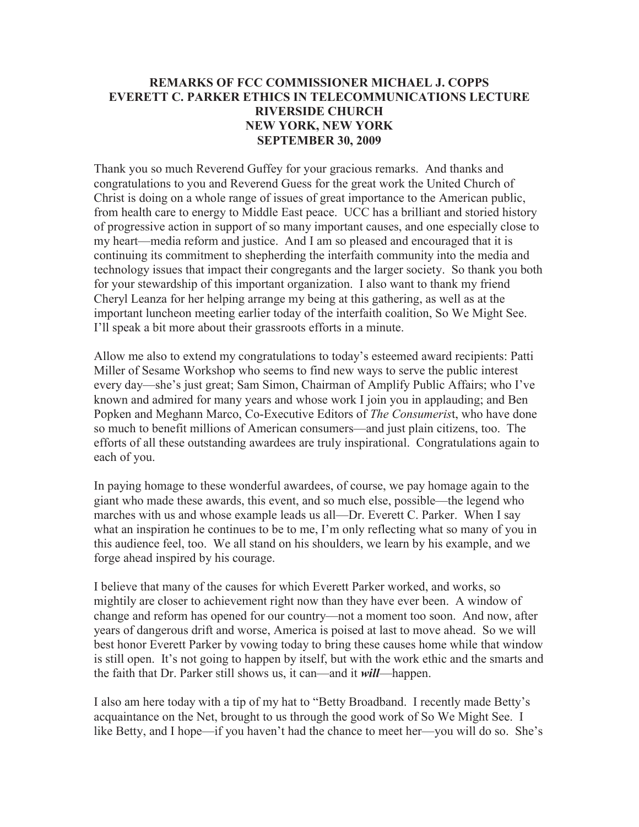## **REMARKS OF FCC COMMISSIONER MICHAEL J. COPPS EVERETT C. PARKER ETHICS IN TELECOMMUNICATIONS LECTURE RIVERSIDE CHURCH NEW YORK, NEW YORK SEPTEMBER 30, 2009**

Thank you so much Reverend Guffey for your gracious remarks. And thanks and congratulations to you and Reverend Guess for the great work the United Church of Christ is doing on a whole range of issues of great importance to the American public, from health care to energy to Middle East peace. UCC has a brilliant and storied history of progressive action in support of so many important causes, and one especially close to my heart—media reform and justice. And I am so pleased and encouraged that it is continuing its commitment to shepherding the interfaith community into the media and technology issues that impact their congregants and the larger society. So thank you both for your stewardship of this important organization. I also want to thank my friend Cheryl Leanza for her helping arrange my being at this gathering, as well as at the important luncheon meeting earlier today of the interfaith coalition, So We Might See. I'll speak a bit more about their grassroots efforts in a minute.

Allow me also to extend my congratulations to today's esteemed award recipients: Patti Miller of Sesame Workshop who seems to find new ways to serve the public interest every day—she's just great; Sam Simon, Chairman of Amplify Public Affairs; who I've known and admired for many years and whose work I join you in applauding; and Ben Popken and Meghann Marco, Co-Executive Editors of *The Consumeris*t, who have done so much to benefit millions of American consumers—and just plain citizens, too. The efforts of all these outstanding awardees are truly inspirational. Congratulations again to each of you.

In paying homage to these wonderful awardees, of course, we pay homage again to the giant who made these awards, this event, and so much else, possible—the legend who marches with us and whose example leads us all—Dr. Everett C. Parker. When I say what an inspiration he continues to be to me, I'm only reflecting what so many of you in this audience feel, too. We all stand on his shoulders, we learn by his example, and we forge ahead inspired by his courage.

I believe that many of the causes for which Everett Parker worked, and works, so mightily are closer to achievement right now than they have ever been. A window of change and reform has opened for our country—not a moment too soon. And now, after years of dangerous drift and worse, America is poised at last to move ahead. So we will best honor Everett Parker by vowing today to bring these causes home while that window is still open. It's not going to happen by itself, but with the work ethic and the smarts and the faith that Dr. Parker still shows us, it can—and it *will*—happen.

I also am here today with a tip of my hat to "Betty Broadband. I recently made Betty's acquaintance on the Net, brought to us through the good work of So We Might See. I like Betty, and I hope—if you haven't had the chance to meet her—you will do so. She's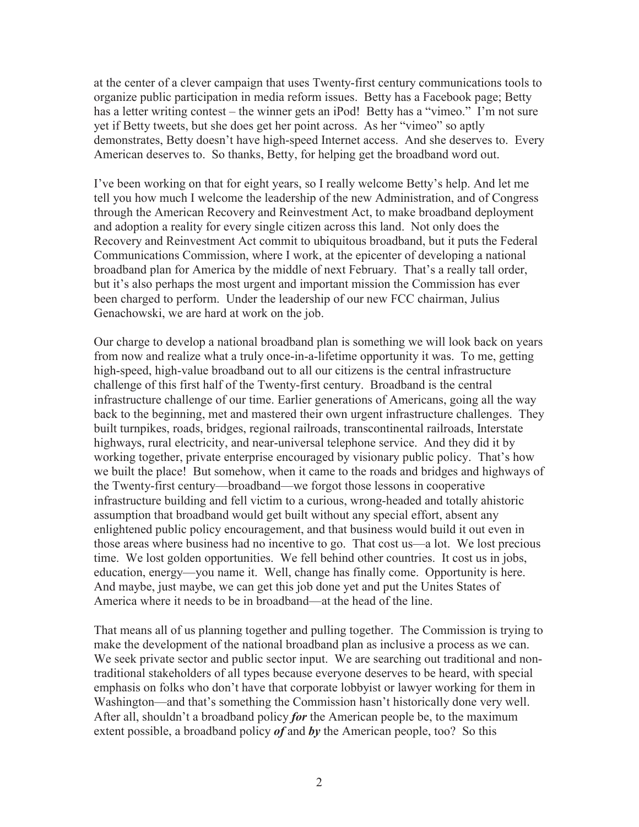at the center of a clever campaign that uses Twenty-first century communications tools to organize public participation in media reform issues. Betty has a Facebook page; Betty has a letter writing contest – the winner gets an iPod! Betty has a "vimeo." I'm not sure yet if Betty tweets, but she does get her point across. As her "vimeo" so aptly demonstrates, Betty doesn't have high-speed Internet access. And she deserves to. Every American deserves to. So thanks, Betty, for helping get the broadband word out.

I've been working on that for eight years, so I really welcome Betty's help. And let me tell you how much I welcome the leadership of the new Administration, and of Congress through the American Recovery and Reinvestment Act, to make broadband deployment and adoption a reality for every single citizen across this land. Not only does the Recovery and Reinvestment Act commit to ubiquitous broadband, but it puts the Federal Communications Commission, where I work, at the epicenter of developing a national broadband plan for America by the middle of next February. That's a really tall order, but it's also perhaps the most urgent and important mission the Commission has ever been charged to perform. Under the leadership of our new FCC chairman, Julius Genachowski, we are hard at work on the job.

Our charge to develop a national broadband plan is something we will look back on years from now and realize what a truly once-in-a-lifetime opportunity it was. To me, getting high-speed, high-value broadband out to all our citizens is the central infrastructure challenge of this first half of the Twenty-first century. Broadband is the central infrastructure challenge of our time. Earlier generations of Americans, going all the way back to the beginning, met and mastered their own urgent infrastructure challenges. They built turnpikes, roads, bridges, regional railroads, transcontinental railroads, Interstate highways, rural electricity, and near-universal telephone service. And they did it by working together, private enterprise encouraged by visionary public policy. That's how we built the place! But somehow, when it came to the roads and bridges and highways of the Twenty-first century—broadband—we forgot those lessons in cooperative infrastructure building and fell victim to a curious, wrong-headed and totally ahistoric assumption that broadband would get built without any special effort, absent any enlightened public policy encouragement, and that business would build it out even in those areas where business had no incentive to go. That cost us—a lot. We lost precious time. We lost golden opportunities. We fell behind other countries. It cost us in jobs, education, energy—you name it. Well, change has finally come. Opportunity is here. And maybe, just maybe, we can get this job done yet and put the Unites States of America where it needs to be in broadband—at the head of the line.

That means all of us planning together and pulling together. The Commission is trying to make the development of the national broadband plan as inclusive a process as we can. We seek private sector and public sector input. We are searching out traditional and nontraditional stakeholders of all types because everyone deserves to be heard, with special emphasis on folks who don't have that corporate lobbyist or lawyer working for them in Washington—and that's something the Commission hasn't historically done very well. After all, shouldn't a broadband policy *for* the American people be, to the maximum extent possible, a broadband policy *of* and *by* the American people, too? So this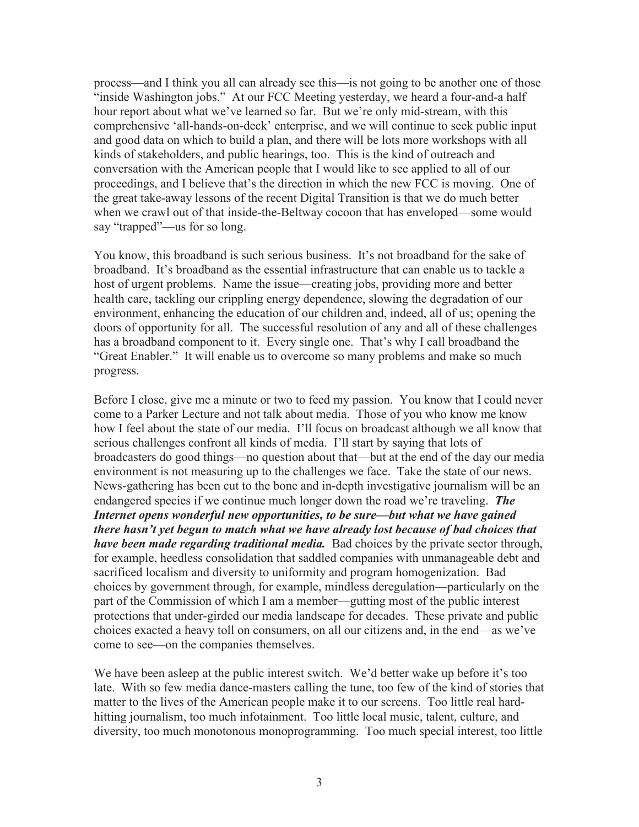process—and I think you all can already see this—is not going to be another one of those "inside Washington jobs." At our FCC Meeting yesterday, we heard a four-and-a half hour report about what we've learned so far. But we're only mid-stream, with this comprehensive 'all-hands-on-deck' enterprise, and we will continue to seek public input and good data on which to build a plan, and there will be lots more workshops with all kinds of stakeholders, and public hearings, too. This is the kind of outreach and conversation with the American people that I would like to see applied to all of our proceedings, and I believe that's the direction in which the new FCC is moving. One of the great take-away lessons of the recent Digital Transition is that we do much better when we crawl out of that inside-the-Beltway cocoon that has enveloped—some would say "trapped"—us for so long.

You know, this broadband is such serious business. It's not broadband for the sake of broadband. It's broadband as the essential infrastructure that can enable us to tackle a host of urgent problems. Name the issue—creating jobs, providing more and better health care, tackling our crippling energy dependence, slowing the degradation of our environment, enhancing the education of our children and, indeed, all of us; opening the doors of opportunity for all. The successful resolution of any and all of these challenges has a broadband component to it. Every single one. That's why I call broadband the "Great Enabler." It will enable us to overcome so many problems and make so much progress.

Before I close, give me a minute or two to feed my passion. You know that I could never come to a Parker Lecture and not talk about media. Those of you who know me know how I feel about the state of our media. I'll focus on broadcast although we all know that serious challenges confront all kinds of media. I'll start by saying that lots of broadcasters do good things—no question about that—but at the end of the day our media environment is not measuring up to the challenges we face. Take the state of our news. News-gathering has been cut to the bone and in-depth investigative journalism will be an endangered species if we continue much longer down the road we're traveling. *The Internet opens wonderful new opportunities, to be sure—but what we have gained there hasn't yet begun to match what we have already lost because of bad choices that have been made regarding traditional media.* Bad choices by the private sector through, for example, heedless consolidation that saddled companies with unmanageable debt and sacrificed localism and diversity to uniformity and program homogenization. Bad choices by government through, for example, mindless deregulation—particularly on the part of the Commission of which I am a member—gutting most of the public interest protections that under-girded our media landscape for decades. These private and public choices exacted a heavy toll on consumers, on all our citizens and, in the end—as we've come to see—on the companies themselves.

We have been asleep at the public interest switch. We'd better wake up before it's too late. With so few media dance-masters calling the tune, too few of the kind of stories that matter to the lives of the American people make it to our screens. Too little real hardhitting journalism, too much infotainment. Too little local music, talent, culture, and diversity, too much monotonous monoprogramming. Too much special interest, too little